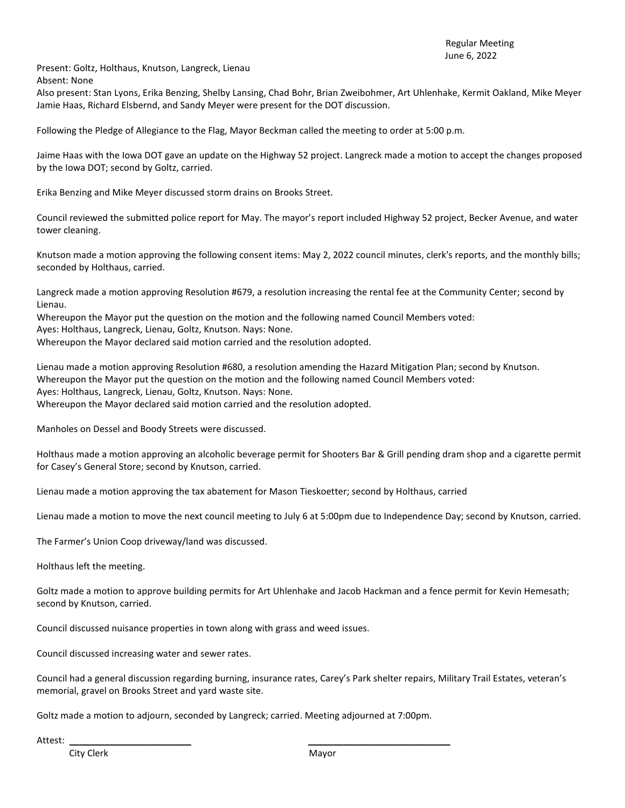Present: Goltz, Holthaus, Knutson, Langreck, Lienau

Absent: None

Also present: Stan Lyons, Erika Benzing, Shelby Lansing, Chad Bohr, Brian Zweibohmer, Art Uhlenhake, Kermit Oakland, Mike Meyer Jamie Haas, Richard Elsbernd, and Sandy Meyer were present for the DOT discussion.

Following the Pledge of Allegiance to the Flag, Mayor Beckman called the meeting to order at 5:00 p.m.

Jaime Haas with the Iowa DOT gave an update on the Highway 52 project. Langreck made a motion to accept the changes proposed by the Iowa DOT; second by Goltz, carried.

Erika Benzing and Mike Meyer discussed storm drains on Brooks Street.

Council reviewed the submitted police report for May. The mayor's report included Highway 52 project, Becker Avenue, and water tower cleaning.

Knutson made a motion approving the following consent items: May 2, 2022 council minutes, clerk's reports, and the monthly bills; seconded by Holthaus, carried.

Langreck made a motion approving Resolution #679, a resolution increasing the rental fee at the Community Center; second by Lienau.

Whereupon the Mayor put the question on the motion and the following named Council Members voted: Ayes: Holthaus, Langreck, Lienau, Goltz, Knutson. Nays: None. Whereupon the Mayor declared said motion carried and the resolution adopted.

Lienau made a motion approving Resolution #680, a resolution amending the Hazard Mitigation Plan; second by Knutson. Whereupon the Mayor put the question on the motion and the following named Council Members voted: Ayes: Holthaus, Langreck, Lienau, Goltz, Knutson. Nays: None. Whereupon the Mayor declared said motion carried and the resolution adopted.

Manholes on Dessel and Boody Streets were discussed.

Holthaus made a motion approving an alcoholic beverage permit for Shooters Bar & Grill pending dram shop and a cigarette permit for Casey's General Store; second by Knutson, carried.

Lienau made a motion approving the tax abatement for Mason Tieskoetter; second by Holthaus, carried

Lienau made a motion to move the next council meeting to July 6 at 5:00pm due to Independence Day; second by Knutson, carried.

The Farmer's Union Coop driveway/land was discussed.

Holthaus left the meeting.

Goltz made a motion to approve building permits for Art Uhlenhake and Jacob Hackman and a fence permit for Kevin Hemesath; second by Knutson, carried.

Council discussed nuisance properties in town along with grass and weed issues.

Council discussed increasing water and sewer rates.

Council had a general discussion regarding burning, insurance rates, Carey's Park shelter repairs, Military Trail Estates, veteran's memorial, gravel on Brooks Street and yard waste site.

Goltz made a motion to adjourn, seconded by Langreck; carried. Meeting adjourned at 7:00pm.

Attest: \_\_\_\_\_\_\_\_\_\_\_\_\_\_\_\_\_\_\_\_\_\_\_\_ \_\_\_\_\_\_\_\_\_\_\_\_\_\_\_\_\_\_\_\_\_\_\_\_\_\_\_\_